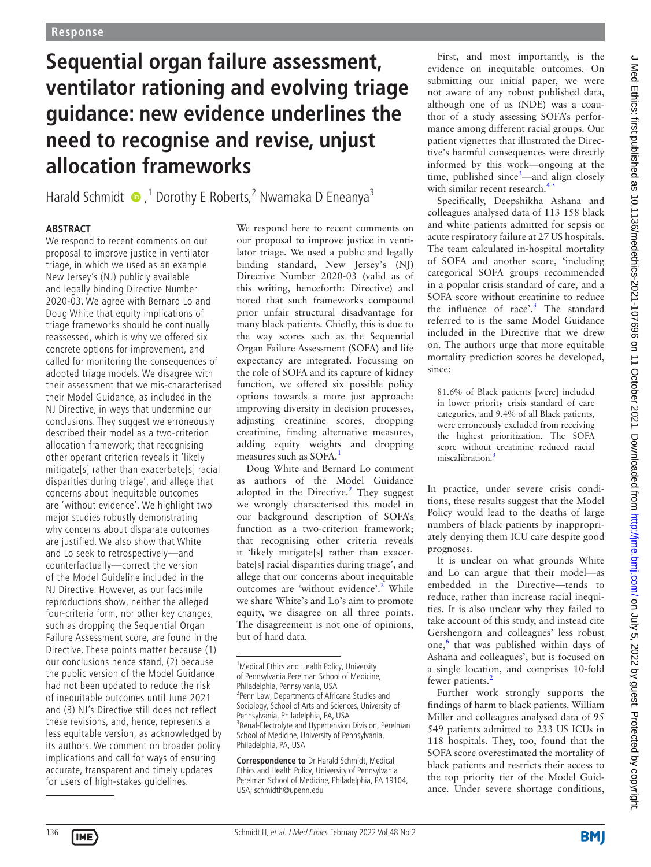# **Sequential organ failure assessment, ventilator rationing and evolving triage guidance: new evidence underlines the need to recognise and revise, unjust allocation frameworks**

Harald Schmidt  $\bullet$ ,<sup>1</sup> Dorothy E Roberts,<sup>2</sup> Nwamaka D Eneanya<sup>3</sup>

## **ABSTRACT**

We respond to recent comments on our proposal to improve justice in ventilator triage, in which we used as an example New Jersey's (NJ) publicly available and legally binding Directive Number 2020-03. We agree with Bernard Lo and Doug White that equity implications of triage frameworks should be continually reassessed, which is why we offered six concrete options for improvement, and called for monitoring the consequences of adopted triage models. We disagree with their assessment that we mis-characterised their Model Guidance, as included in the NJ Directive, in ways that undermine our conclusions. They suggest we erroneously described their model as a two-criterion allocation framework; that recognising other operant criterion reveals it 'likely mitigate[s] rather than exacerbate[s] racial disparities during triage', and allege that concerns about inequitable outcomes are 'without evidence'. We highlight two major studies robustly demonstrating why concerns about disparate outcomes are justified. We also show that White and Lo seek to retrospectively—and counterfactually—correct the version of the Model Guideline included in the NJ Directive. However, as our facsimile reproductions show, neither the alleged four-criteria form, nor other key changes, such as dropping the Sequential Organ Failure Assessment score, are found in the Directive. These points matter because (1) our conclusions hence stand, (2) because the public version of the Model Guidance had not been updated to reduce the risk of inequitable outcomes until June 2021 and (3) NJ's Directive still does not reflect these revisions, and, hence, represents a less equitable version, as acknowledged by its authors. We comment on broader policy implications and call for ways of ensuring accurate, transparent and timely updates for users of high-stakes guidelines.

We respond here to recent comments on our proposal to improve justice in ventilator triage. We used a public and legally binding standard, New Jersey's (NJ) Directive Number 2020-03 (valid as of this writing, henceforth: Directive) and noted that such frameworks compound prior unfair structural disadvantage for many black patients. Chiefly, this is due to the way scores such as the Sequential Organ Failure Assessment (SOFA) and life expectancy are integrated. Focussing on the role of SOFA and its capture of kidney function, we offered six possible policy options towards a more just approach: improving diversity in decision processes, adjusting creatinine scores, dropping creatinine, finding alternative measures, adding equity weights and dropping measures such as SOFA.<sup>[1](#page-2-0)</sup>

Doug White and Bernard Lo comment as authors of the Model Guidance adopted in the Directive. $2$  They suggest we wrongly characterised this model in our background description of SOFA's function as a two-criterion framework; that recognising other criteria reveals it 'likely mitigate[s] rather than exacerbate[s] racial disparities during triage', and allege that our concerns about inequitable outcomes are 'without evidence'.<sup>2</sup> While we share White's and Lo's aim to promote equity, we disagree on all three points. The disagreement is not one of opinions, but of hard data.

**Correspondence to** Dr Harald Schmidt, Medical Ethics and Health Policy, University of Pennsylvania Perelman School of Medicine, Philadelphia, PA 19104, USA; schmidth@upenn.edu

First, and most importantly, is the evidence on inequitable outcomes. On submitting our initial paper, we were not aware of any robust published data, although one of us (NDE) was a coauthor of a study assessing SOFA's performance among different racial groups. Our patient vignettes that illustrated the Directive's harmful consequences were directly informed by this work—ongoing at the time, published since<sup>[3](#page-2-2)</sup>—and align closely with similar recent research.<sup>43</sup>

Specifically, Deepshikha Ashana and colleagues analysed data of 113 158 black and white patients admitted for sepsis or acute respiratory failure at 27 US hospitals. The team calculated in-hospital mortality of SOFA and another score, 'including categorical SOFA groups recommended in a popular crisis standard of care, and a SOFA score without creatinine to reduce the influence of race'.<sup>[3](#page-2-2)</sup> The standard referred to is the same Model Guidance included in the Directive that we drew on. The authors urge that more equitable mortality prediction scores be developed, since:

81.6% of Black patients [were] included in lower priority crisis standard of care categories, and 9.4% of all Black patients, were erroneously excluded from receiving the highest prioritization. The SOFA score without creatinine reduced racial miscalibration.<sup>[3](#page-2-2)</sup>

In practice, under severe crisis conditions, these results suggest that the Model Policy would lead to the deaths of large numbers of black patients by inappropriately denying them ICU care despite good prognoses.

It is unclear on what grounds White and Lo can argue that their model—as embedded in the Directive—tends to reduce, rather than increase racial inequities. It is also unclear why they failed to take account of this study, and instead cite Gershengorn and colleagues' less robust one,<sup>[6](#page-2-4)</sup> that was published within days of Ashana and colleagues', but is focused on a single location, and comprises 10-fold fewer patients.<sup>[2](#page-2-1)</sup>

Further work strongly supports the findings of harm to black patients. William Miller and colleagues analysed data of 95 549 patients admitted to 233 US ICUs in 118 hospitals. They, too, found that the SOFA score overestimated the mortality of black patients and restricts their access to the top priority tier of the Model Guidance. Under severe shortage conditions,

<sup>&</sup>lt;sup>1</sup> Medical Ethics and Health Policy, University of Pennsylvania Perelman School of Medicine, Philadelphia, Pennsylvania, USA <sup>2</sup> Penn Law, Departments of Africana Studies and Sociology, School of Arts and Sciences, University of Pennsylvania, Philadelphia, PA, USA <sup>3</sup> Renal-Electrolyte and Hypertension Division, Perelman School of Medicine, University of Pennsylvania, Philadelphia, PA, USA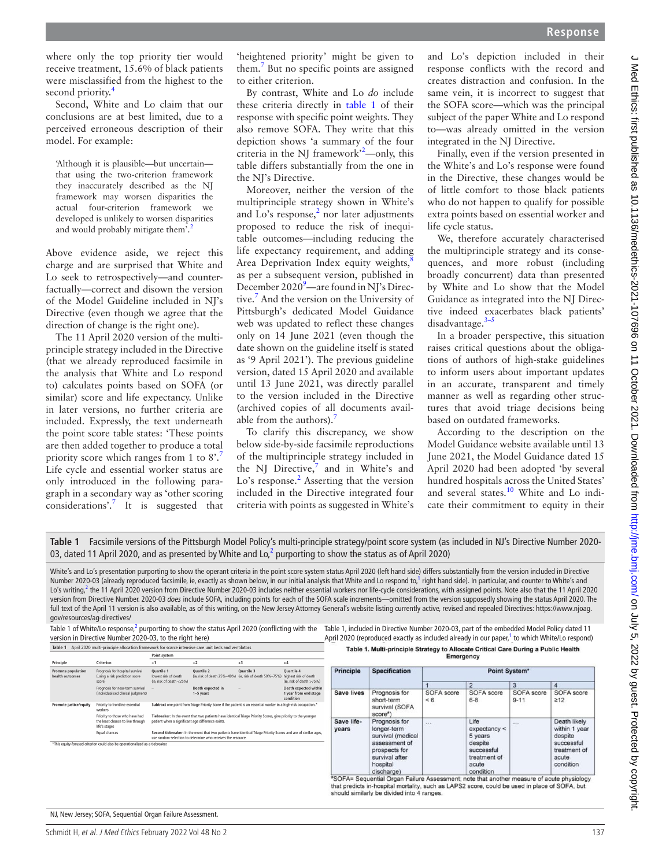$\overline{a}$ 

where only the top priority tier would receive treatment, 15.6% of black patients were misclassified from the highest to the second priority.<sup>[4](#page-2-3)</sup>

Second, White and Lo claim that our conclusions are at best limited, due to a perceived erroneous description of their model. For example:

'Although it is plausible—but uncertain that using the two-criterion framework they inaccurately described as the NJ framework may worsen disparities the actual four-criterion framework we developed is unlikely to worsen disparities and would probably mitigate them'.<sup>[2](#page-2-1)</sup>

Above evidence aside, we reject this charge and are surprised that White and Lo seek to retrospectively—and counterfactually—correct and disown the version of the Model Guideline included in NI's Directive (even though we agree that the direction of change is the right one).

The 11 April 2020 version of the multiprinciple strategy included in the Directive (that we already reproduced facsimile in the analysis that White and Lo respond to) calculates points based on SOFA (or similar) score and life expectancy. Unlike in later versions, no further criteria are included. Expressly, the text underneath the point score table states: 'These points are then added together to produce a total priority score which ranges from 1 to 8'. Life cycle and essential worker status are only introduced in the following paragraph in a secondary way as 'other scoring considerations'.[7](#page-2-5) It is suggested that

'heightened priority' might be given to them.<sup>[7](#page-2-5)</sup> But no specific points are assigned to either criterion.

By contrast, White and Lo *do* include these criteria directly in [table](#page-1-0) 1 of their response with specific point weights. They also remove SOFA. They write that this depiction shows 'a summary of the four criteria in the NJ framework<sup>[2](#page-2-1)2</sup>—only, this table differs substantially from the one in the NJ's Directive.

Moreover, neither the version of the multiprinciple strategy shown in White's and Lo's response, $2$  nor later adjustments proposed to reduce the risk of inequitable outcomes—including reducing the life expectancy requirement, and adding Area Deprivation Index equity weights, $\frac{8}{3}$ as per a subsequent version, published in December 2020<sup>[9](#page-2-7)</sup>—are found in NJ's Directive[.7](#page-2-5) And the version on the University of Pittsburgh's dedicated Model Guidance web was updated to reflect these changes only on 14 June 2021 (even though the date shown on the guideline itself is stated as '9 April 2021'). The previous guideline version, dated 15 April 2020 and available until 13 June 2021, was directly parallel to the version included in the Directive (archived copies of all documents available from the authors).

To clarify this discrepancy, we show below side-by-side facsimile reproductions of the multiprinciple strategy included in the NJ Directive, $\frac{7}{1}$  $\frac{7}{1}$  $\frac{7}{1}$  and in White's and Lo's response.<sup>[2](#page-2-1)</sup> Asserting that the version included in the Directive integrated four criteria with points as suggested in White's

and Lo's depiction included in their response conflicts with the record and creates distraction and confusion. In the same vein, it is incorrect to suggest that the SOFA score—which was the principal subject of the paper White and Lo respond to—was already omitted in the version integrated in the NJ Directive.

Finally, even if the version presented in the White's and Lo's response were found in the Directive, these changes would be of little comfort to those black patients who do not happen to qualify for possible extra points based on essential worker and life cycle status.

We, therefore accurately characterised the multiprinciple strategy and its consequences, and more robust (including broadly concurrent) data than presented by White and Lo show that the Model Guidance as integrated into the NJ Directive indeed exacerbates black patients' disadvantage.[3–5](#page-2-2)

In a broader perspective, this situation raises critical questions about the obligations of authors of high-stake guidelines to inform users about important updates in an accurate, transparent and timely manner as well as regarding other structures that avoid triage decisions being based on outdated frameworks.

According to the description on the Model Guidance website available until 13 June 2021, the Model Guidance dated 15 April 2020 had been adopted 'by several hundred hospitals across the United States' and several states.<sup>[10](#page-2-8)</sup> White and Lo indicate their commitment to equity in their

<span id="page-1-0"></span>**Table 1** Facsimile versions of the Pittsburgh Model Policy's multi-principle strategy/point score system (as included in NJ's Directive Number 2020- 03, dated 11 April [2](#page-2-1)020, and as presented by White and Lo,<sup>2</sup> purporting to show the status as of April 2020)

White's and Lo's presentation purporting to show the operant criteria in the point score system status April 2020 (left hand side) differs substantially from the version included in Directive Number 2020-03 (already reproduced facsimile, ie, exactly as shown below, in our initial analysis that White and Lo respond to,<sup>[1](#page-2-0)</sup> right hand side). In particular, and counter to White's and Lo's writing,<sup>2</sup> the 11 April 2020 version from Directive Number 2020-03 includes neither essential workers nor life-cycle considerations, with assigned points. Note also that the 11 April 2020 version from Directive Number. 2020-03 *does* include SOFA, including points for each of the SOFA scale increments—omitted from the version supposedly showing the status April 2020. The full text of the April 11 version is also available, as of this writing, on the New Jersey Attorney General's website listing currently active, revised and repealed Directives: [https://www.njoag.](https://www.njoag.gov/resources/ag-directives/) [gov/resources/ag-directives/](https://www.njoag.gov/resources/ag-directives/)

version in Directive Number 2020-03, to the right here) Table 1 April 2020 multi-principle allocation framework for scarce intensive care unit beds and ventilators

Quartile 2<br>(ie, risk of death 25%-49%)

Death expected in<br>1-5 years

Second tiebreaker: In the event that two patients ha

 $\frac{Point system}{+1}$ 

Quartile 1<br>lowest risk

Table 1 of White/Lo response,<sup>[2](#page-2-1)</sup> purporting to show the status April 2020 (conflicting with the Table 1, included in Directive Number 2020-03, part of the embedded Model Policy dated 11 April 2020 (reproduced exactly as included already in our paper,<sup>[1](#page-2-0)</sup> to which White/Lo respond) Ta h

| ble 1. Multi-principle Strategy to Allocate Critical Care During a Public Healtl |           |  |  |  |
|----------------------------------------------------------------------------------|-----------|--|--|--|
|                                                                                  | Empropose |  |  |  |

| $+3$                                                                                                                             | $+4$                                                                   |                     |                                                                                                                                 |                      |                                                                                                |                        |  |  |  |
|----------------------------------------------------------------------------------------------------------------------------------|------------------------------------------------------------------------|---------------------|---------------------------------------------------------------------------------------------------------------------------------|----------------------|------------------------------------------------------------------------------------------------|------------------------|--|--|--|
| <b>Quartile 3</b><br>(ie. risk of death 50%-75%)                                                                                 | <b>Quartile 4</b><br>highest risk of death<br>(ie, risk of death >75%) | <b>Principle</b>    | <b>Specification</b>                                                                                                            | <b>Point System*</b> |                                                                                                |                        |  |  |  |
|                                                                                                                                  | Death expected within                                                  |                     |                                                                                                                                 |                      | $\overline{2}$                                                                                 | 3                      |  |  |  |
|                                                                                                                                  | 1 year from end stage<br>condition                                     | <b>Save lives</b>   | Prognosis for<br>short-term                                                                                                     | SOFA score<br>< 6    | SOFA score<br>$6 - 8$                                                                          | SOFA score<br>$9 - 11$ |  |  |  |
| ent is an essential worker in a high-risk occupation.*                                                                           |                                                                        |                     | survival (SOFA<br>score")                                                                                                       |                      |                                                                                                |                        |  |  |  |
| al Triage Priority Scores, give priority to the younger<br>e identical Triage Priority Scores and are of similar ages,<br>ource. |                                                                        | Save life-<br>years | Prognosis for<br>longer-term<br>survival (medical<br>assessment of<br>prospects for<br>survival after<br>hospital<br>discharge) | 122                  | Life<br>expectancy <<br>5 years<br>despite<br>successful<br>treatment of<br>acute<br>condition | 111                    |  |  |  |

"SOFA= Sequential Organ Failure Assessment; note that another measure of acute physiology that predicts in-hospital mortality, such as LAPS2 score, could be used in place of SOFA, but<br>should similarly be divided into 4 ranges.

NJ, New Jersey; SOFA, Sequential Organ Failure Assessment.

ospital survival

Prognosis for<br>(individualise

Priority to the<br>the least cha<br>life's stages

Foual chances

\*This equity-focused criterion could also be operationalized as a tie

Principle

SOFA score

Death likely within 1 year

treatment of acute condition

despite successful

 $\frac{80}{212}$